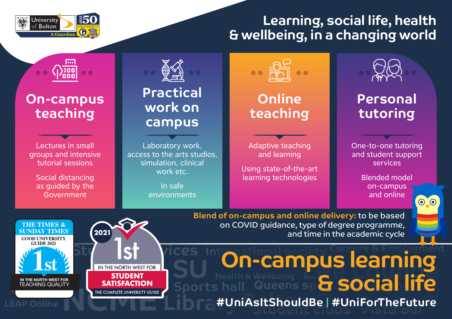

# **Learning, social life, health & wellbeing, in a changing world**

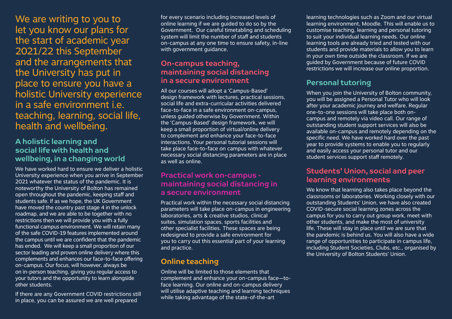We are writing to you to let you know our plans for the start of academic year 2021/22 this September and the arrangements that the University has put in place to ensure you have a holistic University experience in a safe environment i.e. teaching, learning, social life, health and wellbeing.

#### **A holistic learning and social life with health and wellbeing, in a changing world**

We have worked hard to ensure we deliver a holistic University experience when you arrive in September 2021 whatever the status of the pandemic. It is noteworthy the University of Bolton has remained open throughout the pandemic, keeping staff and students safe. If as we hope, the UK Government have moved the country past stage 4 in the unlock roadmap, and we are able to be together with no restrictions then we will provide you with a fully functional campus environment. We will retain many of the safe COVID-19 features implemented around the campus until we are confident that the pandemic has ended. We will keep a small proportion of our sector leading and proven online delivery where this complements and enhances our face-to-face offering on-campus. Our focus, will however, always be on in-person teaching, giving you regular access to your tutors and the opportunity to learn alongside other students.

If there are any Government COVID restrictions still in place, you can be assured we are well prepared

for every scenario including increased levels of online learning if we are guided to do so by the Government. Our careful timetabling and scheduling system will limit the number of staff and students on-campus at any one time to ensure safety, in-line with government guidance.

## **On-campus teaching, maintaining social distancing in a secure environment**

All our courses will adopt a 'Campus-Based' design framework with lectures, practical sessions, social life and extra-curricular activities delivered face-to-face in a safe environment on-campus, unless guided otherwise by Government. Within the 'Campus-Based' design framework, we will keep a small proportion of virtual/online delivery to complement and enhance your face-to-face interactions. Your personal tutorial sessions will take place face-to-face on campus with whatever necessary social distancing parameters are in place as well as online.

## **Practical work on-campus maintaining social distancing in a secure environment**

Practical work within the necessary social distancing parameters will take place on-campus in engineering laboratories, arts & creative studios, clinical suites, simulation spaces, sports facilities and other specialist facilities. These spaces are being redesigned to provide a safe environment for you to carry out this essential part of your learning and practice.

# **Online teaching**

Online will be limited to those elements that complement and enhance your on-campus face—toface learning. Our online and on-campus delivery will utilise adaptive teaching and learning techniques while taking advantage of the state-of-the-art

learning technologies such as Zoom and our virtual learning environment, Moodle. This will enable us to customise teaching, learning and personal tutoring to suit your individual learning needs. Our online learning tools are already tried and tested with our students and provide materials to allow you to learn in your own time outside the classroom. If we are guided by Government because of future COVID restrictions we will increase our online proportion.

# **Personal tutoring**

When you join the University of Bolton community, you will be assigned a Personal Tutor who will look after your academic journey and welfare. Regular one-to-one sessions will take place both oncampus and remotely via video call. Our range of outstanding student support services will also be available on-campus and remotely depending on the specific need. We have worked hard over the past year to provide systems to enable you to regularly and easily access your personal tutor and our student services support staff remotely.

# **Students' Union, social and peer learning environments**

We know that learning also takes place beyond the classrooms or laboratories. Working closely with our outstanding Students' Union, we have also created COVID-secure social learning zones across the campus for you to carry out group work, meet with other students, and make the most of university life. These will stay in place until we are sure that the pandemic is behind us. You will also have a wide range of opportunities to participate in campus life, including Student Societies, Clubs, etc., organised by the University of Bolton Students' Union.